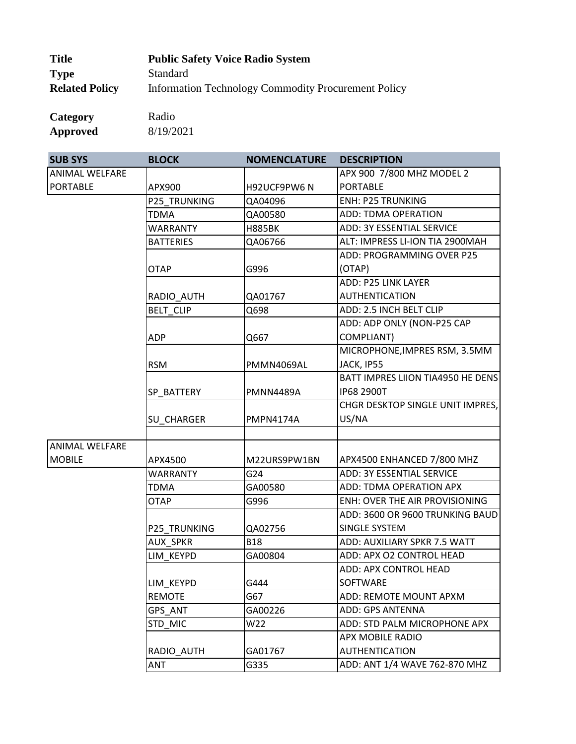| <b>Title</b>          | <b>Public Safety Voice Radio System</b>                    |
|-----------------------|------------------------------------------------------------|
| <b>Type</b>           | <b>Standard</b>                                            |
| <b>Related Policy</b> | <b>Information Technology Commodity Procurement Policy</b> |

| Category | Radio     |
|----------|-----------|
| Approved | 8/19/2021 |

| <b>SUB SYS</b>        | <b>BLOCK</b>      | <b>NOMENCLATURE</b> | <b>DESCRIPTION</b>                |
|-----------------------|-------------------|---------------------|-----------------------------------|
| <b>ANIMAL WELFARE</b> |                   |                     | APX 900 7/800 MHZ MODEL 2         |
| <b>PORTABLE</b>       | APX900            | H92UCF9PW6 N        | <b>PORTABLE</b>                   |
|                       | P25 TRUNKING      | QA04096             | <b>ENH: P25 TRUNKING</b>          |
|                       | <b>TDMA</b>       | QA00580             | ADD: TDMA OPERATION               |
|                       | <b>WARRANTY</b>   | <b>H885BK</b>       | <b>ADD: 3Y ESSENTIAL SERVICE</b>  |
|                       | <b>BATTERIES</b>  | QA06766             | ALT: IMPRESS LI-ION TIA 2900MAH   |
|                       |                   |                     | ADD: PROGRAMMING OVER P25         |
|                       | <b>OTAP</b>       | G996                | (OTAP)                            |
|                       |                   |                     | ADD: P25 LINK LAYER               |
|                       | RADIO_AUTH        | QA01767             | <b>AUTHENTICATION</b>             |
|                       | <b>BELT_CLIP</b>  | Q698                | ADD: 2.5 INCH BELT CLIP           |
|                       |                   |                     | ADD: ADP ONLY (NON-P25 CAP        |
|                       | <b>ADP</b>        | Q667                | COMPLIANT)                        |
|                       |                   |                     | MICROPHONE, IMPRES RSM, 3.5MM     |
|                       | <b>RSM</b>        | PMMN4069AL          | JACK, IP55                        |
|                       |                   |                     | BATT IMPRES LIION TIA4950 HE DENS |
|                       | SP_BATTERY        | <b>PMNN4489A</b>    | IP68 2900T                        |
|                       |                   |                     | CHGR DESKTOP SINGLE UNIT IMPRES,  |
|                       | <b>SU_CHARGER</b> | <b>PMPN4174A</b>    | US/NA                             |
|                       |                   |                     |                                   |
| <b>ANIMAL WELFARE</b> |                   |                     |                                   |
| <b>MOBILE</b>         | APX4500           | M22URS9PW1BN        | APX4500 ENHANCED 7/800 MHZ        |
|                       | WARRANTY          | G24                 | <b>ADD: 3Y ESSENTIAL SERVICE</b>  |
|                       | TDMA              | GA00580             | ADD: TDMA OPERATION APX           |
|                       | OTAP              | G996                | ENH: OVER THE AIR PROVISIONING    |
|                       |                   |                     | ADD: 3600 OR 9600 TRUNKING BAUD   |
|                       | P25_TRUNKING      | QA02756             | SINGLE SYSTEM                     |
|                       | <b>AUX SPKR</b>   | <b>B18</b>          | ADD: AUXILIARY SPKR 7.5 WATT      |
|                       | LIM_KEYPD         | GA00804             | ADD: APX O2 CONTROL HEAD          |
|                       |                   |                     | ADD: APX CONTROL HEAD             |
|                       | LIM KEYPD         | G444                | <b>SOFTWARE</b>                   |
|                       | <b>REMOTE</b>     | G67                 | ADD: REMOTE MOUNT APXM            |
|                       | GPS ANT           | GA00226             | ADD: GPS ANTENNA                  |
|                       | STD MIC           | W22                 | ADD: STD PALM MICROPHONE APX      |
|                       |                   |                     | APX MOBILE RADIO                  |
|                       | RADIO AUTH        | GA01767             | <b>AUTHENTICATION</b>             |
|                       | ANT               | G335                | ADD: ANT 1/4 WAVE 762-870 MHZ     |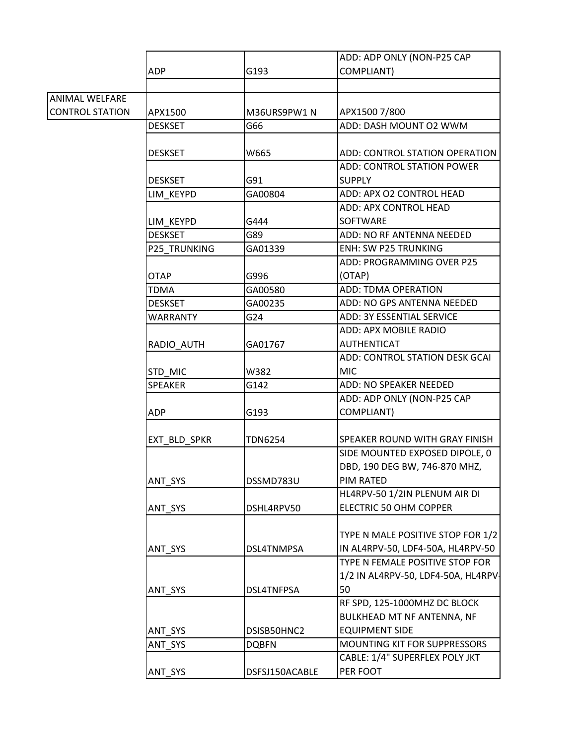|                        |                     |                | ADD: ADP ONLY (NON-P25 CAP          |
|------------------------|---------------------|----------------|-------------------------------------|
|                        | <b>ADP</b>          | G193           | COMPLIANT)                          |
|                        |                     |                |                                     |
| ANIMAL WELFARE         |                     |                |                                     |
| <b>CONTROL STATION</b> | APX1500             | M36URS9PW1 N   | APX1500 7/800                       |
|                        | <b>DESKSET</b>      | G66            | ADD: DASH MOUNT O2 WWM              |
|                        |                     |                |                                     |
|                        | <b>DESKSET</b>      | W665           | ADD: CONTROL STATION OPERATION      |
|                        |                     |                | ADD: CONTROL STATION POWER          |
|                        | <b>DESKSET</b>      | G91            | <b>SUPPLY</b>                       |
|                        | LIM KEYPD           | GA00804        | ADD: APX O2 CONTROL HEAD            |
|                        |                     |                | ADD: APX CONTROL HEAD               |
|                        | LIM_KEYPD           | G444           | SOFTWARE                            |
|                        | <b>DESKSET</b>      | G89            | ADD: NO RF ANTENNA NEEDED           |
|                        | <b>P25 TRUNKING</b> | GA01339        | <b>ENH: SW P25 TRUNKING</b>         |
|                        |                     |                | ADD: PROGRAMMING OVER P25           |
|                        | OTAP                | G996           | (OTAP)                              |
|                        | TDMA                | GA00580        | <b>ADD: TDMA OPERATION</b>          |
|                        | <b>DESKSET</b>      | GA00235        | ADD: NO GPS ANTENNA NEEDED          |
|                        | <b>WARRANTY</b>     | G24            | <b>ADD: 3Y ESSENTIAL SERVICE</b>    |
|                        |                     |                | ADD: APX MOBILE RADIO               |
|                        | RADIO AUTH          | GA01767        | <b>AUTHENTICAT</b>                  |
|                        |                     |                | ADD: CONTROL STATION DESK GCAI      |
|                        | STD_MIC             | W382           | <b>MIC</b>                          |
|                        | <b>SPEAKER</b>      | G142           | ADD: NO SPEAKER NEEDED              |
|                        |                     |                | ADD: ADP ONLY (NON-P25 CAP          |
|                        | <b>ADP</b>          | G193           | <b>COMPLIANT)</b>                   |
|                        |                     |                |                                     |
|                        | EXT_BLD_SPKR        | <b>TDN6254</b> | SPEAKER ROUND WITH GRAY FINISH      |
|                        |                     |                | SIDE MOUNTED EXPOSED DIPOLE, 0      |
|                        |                     |                | DBD, 190 DEG BW, 746-870 MHZ,       |
|                        | ANT_SYS             | DSSMD783U      | PIM RATED                           |
|                        |                     |                | HL4RPV-50 1/2IN PLENUM AIR DI       |
|                        | ANT SYS             | DSHL4RPV50     | ELECTRIC 50 OHM COPPER              |
|                        |                     |                |                                     |
|                        |                     |                | TYPE N MALE POSITIVE STOP FOR 1/2   |
|                        | ANT_SYS             | DSL4TNMPSA     | IN AL4RPV-50, LDF4-50A, HL4RPV-50   |
|                        |                     |                | TYPE N FEMALE POSITIVE STOP FOR     |
|                        |                     |                | 1/2 IN AL4RPV-50, LDF4-50A, HL4RPV- |
|                        | ANT_SYS             | DSL4TNFPSA     | 50                                  |
|                        |                     |                | RF SPD, 125-1000MHZ DC BLOCK        |
|                        |                     |                | BULKHEAD MT NF ANTENNA, NF          |
|                        | ANT SYS             | DSISB50HNC2    | <b>EQUIPMENT SIDE</b>               |
|                        | ANT SYS             | <b>DQBFN</b>   | <b>MOUNTING KIT FOR SUPPRESSORS</b> |
|                        |                     |                | CABLE: 1/4" SUPERFLEX POLY JKT      |
|                        | ANT_SYS             | DSFSJ150ACABLE | PER FOOT                            |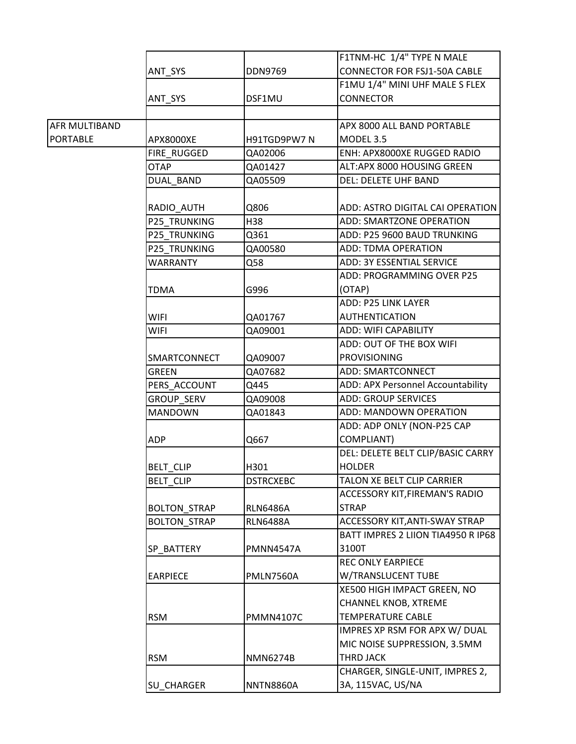|                 |                     |                  | F1TNM-HC 1/4" TYPE N MALE           |
|-----------------|---------------------|------------------|-------------------------------------|
|                 | ANT_SYS             | <b>DDN9769</b>   | <b>CONNECTOR FOR FSJ1-50A CABLE</b> |
|                 |                     |                  | F1MU 1/4" MINI UHF MALE S FLEX      |
|                 | ANT_SYS             | DSF1MU           | <b>CONNECTOR</b>                    |
|                 |                     |                  |                                     |
| AFR MULTIBAND   |                     |                  | APX 8000 ALL BAND PORTABLE          |
| <b>PORTABLE</b> | APX8000XE           | H91TGD9PW7 N     | MODEL 3.5                           |
|                 | FIRE RUGGED         | QA02006          | ENH: APX8000XE RUGGED RADIO         |
|                 | <b>OTAP</b>         | QA01427          | ALT:APX 8000 HOUSING GREEN          |
|                 | DUAL_BAND           | QA05509          | DEL: DELETE UHF BAND                |
|                 |                     |                  |                                     |
|                 | RADIO AUTH          | Q806             | ADD: ASTRO DIGITAL CAI OPERATION    |
|                 | P25_TRUNKING        | H38              | ADD: SMARTZONE OPERATION            |
|                 | P25 TRUNKING        | Q361             | ADD: P25 9600 BAUD TRUNKING         |
|                 | <b>P25 TRUNKING</b> | QA00580          | ADD: TDMA OPERATION                 |
|                 | <b>WARRANTY</b>     | Q58              | <b>ADD: 3Y ESSENTIAL SERVICE</b>    |
|                 |                     |                  | ADD: PROGRAMMING OVER P25           |
|                 | <b>TDMA</b>         | G996             | (OTAP)                              |
|                 |                     |                  | <b>ADD: P25 LINK LAYER</b>          |
|                 | WIFI                | QA01767          | <b>AUTHENTICATION</b>               |
|                 | <b>WIFI</b>         | QA09001          | ADD: WIFI CAPABILITY                |
|                 |                     |                  | ADD: OUT OF THE BOX WIFI            |
|                 | SMARTCONNECT        | QA09007          | <b>PROVISIONING</b>                 |
|                 | <b>GREEN</b>        | QA07682          | ADD: SMARTCONNECT                   |
|                 | PERS ACCOUNT        | Q445             | ADD: APX Personnel Accountability   |
|                 | <b>GROUP SERV</b>   | QA09008          | <b>ADD: GROUP SERVICES</b>          |
|                 | <b>MANDOWN</b>      | QA01843          | ADD: MANDOWN OPERATION              |
|                 |                     |                  | ADD: ADP ONLY (NON-P25 CAP          |
|                 | <b>ADP</b>          | Q667             | COMPLIANT)                          |
|                 |                     |                  | DEL: DELETE BELT CLIP/BASIC CARRY   |
|                 | <b>BELT CLIP</b>    | H301             | <b>HOLDER</b>                       |
|                 | <b>BELT_CLIP</b>    | <b>DSTRCXEBC</b> | TALON XE BELT CLIP CARRIER          |
|                 |                     |                  | ACCESSORY KIT, FIREMAN'S RADIO      |
|                 | <b>BOLTON STRAP</b> | <b>RLN6486A</b>  | <b>STRAP</b>                        |
|                 | <b>BOLTON_STRAP</b> | <b>RLN6488A</b>  | ACCESSORY KIT, ANTI-SWAY STRAP      |
|                 |                     |                  | BATT IMPRES 2 LIION TIA4950 R IP68  |
|                 | SP_BATTERY          | PMNN4547A        | 3100T                               |
|                 |                     |                  | <b>REC ONLY EARPIECE</b>            |
|                 | <b>EARPIECE</b>     | <b>PMLN7560A</b> | W/TRANSLUCENT TUBE                  |
|                 |                     |                  | XE500 HIGH IMPACT GREEN, NO         |
|                 |                     |                  | CHANNEL KNOB, XTREME                |
|                 | <b>RSM</b>          | <b>PMMN4107C</b> | <b>TEMPERATURE CABLE</b>            |
|                 |                     |                  | IMPRES XP RSM FOR APX W/ DUAL       |
|                 |                     |                  | MIC NOISE SUPPRESSION, 3.5MM        |
|                 | <b>RSM</b>          | <b>NMN6274B</b>  | THRD JACK                           |
|                 |                     |                  | CHARGER, SINGLE-UNIT, IMPRES 2,     |
|                 | SU_CHARGER          | <b>NNTN8860A</b> | 3A, 115VAC, US/NA                   |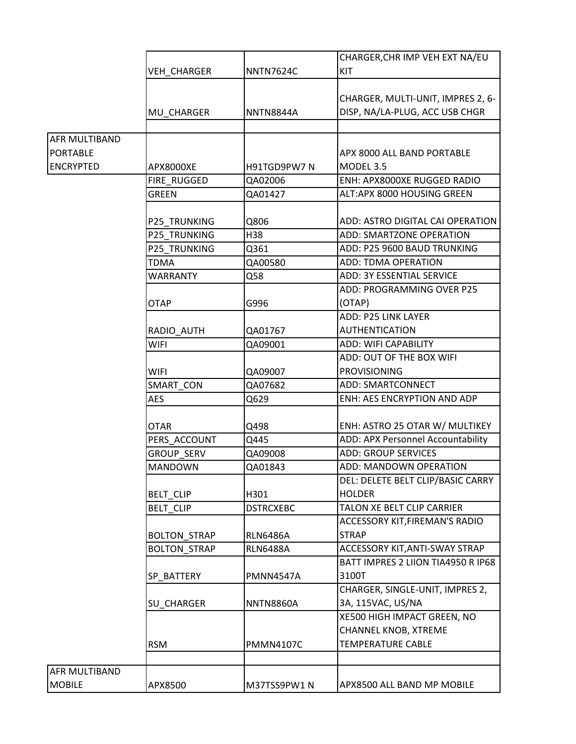|                      |                     |                  | CHARGER, CHR IMP VEH EXT NA/EU     |
|----------------------|---------------------|------------------|------------------------------------|
|                      | VEH_CHARGER         | <b>NNTN7624C</b> | KIT                                |
|                      |                     |                  |                                    |
|                      |                     |                  | CHARGER, MULTI-UNIT, IMPRES 2, 6-  |
|                      | MU_CHARGER          | <b>NNTN8844A</b> | DISP, NA/LA-PLUG, ACC USB CHGR     |
|                      |                     |                  |                                    |
| <b>AFR MULTIBAND</b> |                     |                  |                                    |
| <b>PORTABLE</b>      |                     |                  | APX 8000 ALL BAND PORTABLE         |
| <b>ENCRYPTED</b>     | APX8000XE           | H91TGD9PW7 N     | MODEL 3.5                          |
|                      | FIRE_RUGGED         | QA02006          | ENH: APX8000XE RUGGED RADIO        |
|                      | <b>GREEN</b>        | QA01427          | ALT:APX 8000 HOUSING GREEN         |
|                      |                     |                  |                                    |
|                      | P25_TRUNKING        | Q806             | ADD: ASTRO DIGITAL CAI OPERATION   |
|                      | P25 TRUNKING        | H38              | ADD: SMARTZONE OPERATION           |
|                      | P25 TRUNKING        | Q361             | ADD: P25 9600 BAUD TRUNKING        |
|                      | <b>TDMA</b>         | QA00580          | <b>ADD: TDMA OPERATION</b>         |
|                      | <b>WARRANTY</b>     | Q58              | <b>ADD: 3Y ESSENTIAL SERVICE</b>   |
|                      |                     |                  | ADD: PROGRAMMING OVER P25          |
|                      | <b>OTAP</b>         | G996             | (OTAP)                             |
|                      |                     |                  | ADD: P25 LINK LAYER                |
|                      |                     |                  | <b>AUTHENTICATION</b>              |
|                      | RADIO_AUTH          | QA01767          |                                    |
|                      | <b>WIFI</b>         | QA09001          | <b>ADD: WIFI CAPABILITY</b>        |
|                      |                     |                  | ADD: OUT OF THE BOX WIFI           |
|                      | <b>WIFI</b>         | QA09007          | <b>PROVISIONING</b>                |
|                      | SMART_CON           | QA07682          | ADD: SMARTCONNECT                  |
|                      | <b>AES</b>          | Q629             | ENH: AES ENCRYPTION AND ADP        |
|                      |                     |                  |                                    |
|                      | <b>OTAR</b>         | Q498             | ENH: ASTRO 25 OTAR W/ MULTIKEY     |
|                      | PERS ACCOUNT        | Q445             | ADD: APX Personnel Accountability  |
|                      | GROUP_SERV          | QA09008          | <b>ADD: GROUP SERVICES</b>         |
|                      | MANDOWN             | QA01843          | ADD: MANDOWN OPERATION             |
|                      |                     |                  | DEL: DELETE BELT CLIP/BASIC CARRY  |
|                      | <b>BELT CLIP</b>    | H301             | <b>HOLDER</b>                      |
|                      | BELT_CLIP           | <b>DSTRCXEBC</b> | TALON XE BELT CLIP CARRIER         |
|                      |                     |                  | ACCESSORY KIT, FIREMAN'S RADIO     |
|                      | <b>BOLTON STRAP</b> | <b>RLN6486A</b>  | <b>STRAP</b>                       |
|                      | <b>BOLTON_STRAP</b> | <b>RLN6488A</b>  | ACCESSORY KIT, ANTI-SWAY STRAP     |
|                      |                     |                  | BATT IMPRES 2 LIION TIA4950 R IP68 |
|                      | SP BATTERY          | <b>PMNN4547A</b> | 3100T                              |
|                      |                     |                  | CHARGER, SINGLE-UNIT, IMPRES 2,    |
|                      | SU CHARGER          | <b>NNTN8860A</b> | 3A, 115VAC, US/NA                  |
|                      |                     |                  | XE500 HIGH IMPACT GREEN, NO        |
|                      |                     |                  | <b>CHANNEL KNOB, XTREME</b>        |
|                      | <b>RSM</b>          | <b>PMMN4107C</b> | <b>TEMPERATURE CABLE</b>           |
|                      |                     |                  |                                    |
| AFR MULTIBAND        |                     |                  |                                    |
| <b>MOBILE</b>        | APX8500             | M37TSS9PW1 N     | APX8500 ALL BAND MP MOBILE         |
|                      |                     |                  |                                    |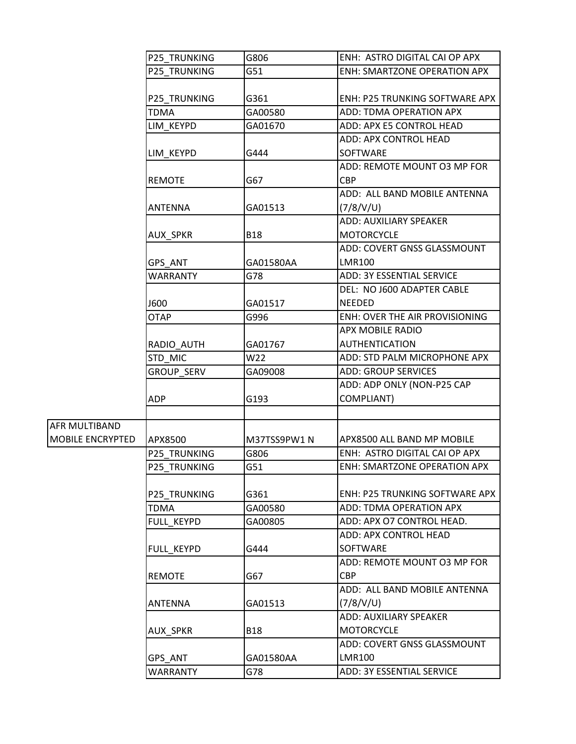|                         | P25 TRUNKING        | G806         | ENH: ASTRO DIGITAL CAI OP APX         |
|-------------------------|---------------------|--------------|---------------------------------------|
|                         | P25_TRUNKING        | G51          | <b>ENH: SMARTZONE OPERATION APX</b>   |
|                         |                     |              |                                       |
|                         | P25_TRUNKING        | G361         | ENH: P25 TRUNKING SOFTWARE APX        |
|                         | <b>TDMA</b>         | GA00580      | ADD: TDMA OPERATION APX               |
|                         | LIM_KEYPD           | GA01670      | ADD: APX E5 CONTROL HEAD              |
|                         |                     |              | ADD: APX CONTROL HEAD                 |
|                         | LIM KEYPD           | G444         | SOFTWARE                              |
|                         |                     |              | ADD: REMOTE MOUNT O3 MP FOR           |
|                         | <b>REMOTE</b>       | G67          | <b>CBP</b>                            |
|                         |                     |              | ADD: ALL BAND MOBILE ANTENNA          |
|                         | ANTENNA             | GA01513      | (7/8/V/U)                             |
|                         |                     |              | ADD: AUXILIARY SPEAKER                |
|                         | AUX_SPKR            | <b>B18</b>   | <b>MOTORCYCLE</b>                     |
|                         |                     |              | ADD: COVERT GNSS GLASSMOUNT           |
|                         | GPS_ANT             | GA01580AA    | <b>LMR100</b>                         |
|                         | <b>WARRANTY</b>     | G78          | ADD: 3Y ESSENTIAL SERVICE             |
|                         |                     |              | DEL: NO J600 ADAPTER CABLE            |
|                         | J600                | GA01517      | <b>NEEDED</b>                         |
|                         | OTAP                | G996         | ENH: OVER THE AIR PROVISIONING        |
|                         |                     |              | APX MOBILE RADIO                      |
|                         | RADIO_AUTH          | GA01767      | <b>AUTHENTICATION</b>                 |
|                         | STD_MIC             | W22          | ADD: STD PALM MICROPHONE APX          |
|                         | GROUP_SERV          | GA09008      | <b>ADD: GROUP SERVICES</b>            |
|                         |                     |              | ADD: ADP ONLY (NON-P25 CAP            |
|                         | <b>ADP</b>          | G193         | COMPLIANT)                            |
|                         |                     |              |                                       |
| <b>AFR MULTIBAND</b>    |                     |              |                                       |
| <b>MOBILE ENCRYPTED</b> | APX8500             | M37TSS9PW1 N | APX8500 ALL BAND MP MOBILE            |
|                         | P25 TRUNKING        | G806         | ENH: ASTRO DIGITAL CAI OP APX         |
|                         | <b>P25 TRUNKING</b> | G51          | ENH: SMARTZONE OPERATION APX          |
|                         |                     |              |                                       |
|                         | <b>P25 TRUNKING</b> | G361         | <b>ENH: P25 TRUNKING SOFTWARE APX</b> |
|                         | TDMA                | GA00580      | ADD: TDMA OPERATION APX               |
|                         | FULL KEYPD          | GA00805      | ADD: APX O7 CONTROL HEAD.             |
|                         |                     |              | ADD: APX CONTROL HEAD                 |
|                         | <b>FULL KEYPD</b>   | G444         | <b>SOFTWARE</b>                       |
|                         |                     |              | ADD: REMOTE MOUNT 03 MP FOR           |
|                         | <b>REMOTE</b>       | G67          | <b>CBP</b>                            |
|                         |                     |              | ADD: ALL BAND MOBILE ANTENNA          |
|                         |                     |              |                                       |
|                         | ANTENNA             | GA01513      | (7/8/V/U)                             |
|                         |                     |              | ADD: AUXILIARY SPEAKER                |
|                         | AUX_SPKR            | <b>B18</b>   | <b>MOTORCYCLE</b>                     |
|                         |                     |              | ADD: COVERT GNSS GLASSMOUNT           |
|                         | GPS ANT             | GA01580AA    | <b>LMR100</b>                         |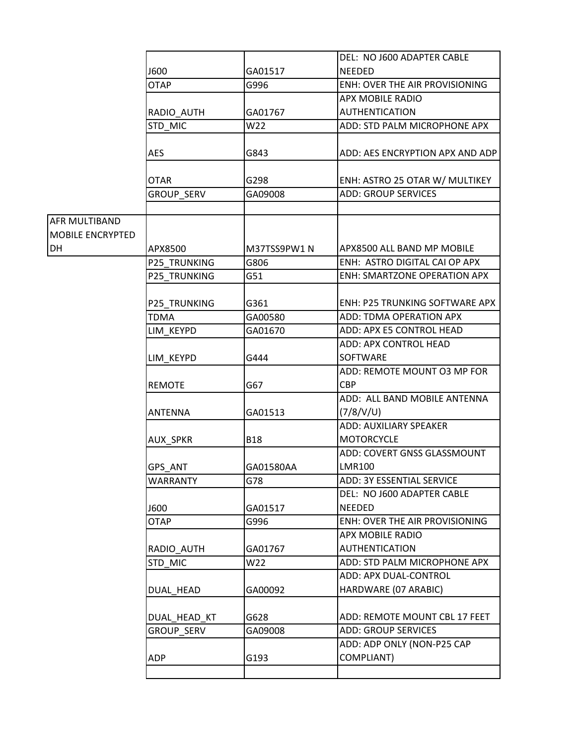|                         |                     |              | DEL: NO J600 ADAPTER CABLE            |
|-------------------------|---------------------|--------------|---------------------------------------|
|                         | J600                | GA01517      | <b>NEEDED</b>                         |
|                         | <b>OTAP</b>         | G996         | <b>ENH: OVER THE AIR PROVISIONING</b> |
|                         |                     |              | APX MOBILE RADIO                      |
|                         | RADIO_AUTH          | GA01767      | <b>AUTHENTICATION</b>                 |
|                         | STD_MIC             | W22          | ADD: STD PALM MICROPHONE APX          |
|                         | <b>AES</b>          | G843         | ADD: AES ENCRYPTION APX AND ADP       |
|                         | <b>OTAR</b>         | G298         | ENH: ASTRO 25 OTAR W/ MULTIKEY        |
|                         | GROUP_SERV          | GA09008      | <b>ADD: GROUP SERVICES</b>            |
|                         |                     |              |                                       |
| <b>AFR MULTIBAND</b>    |                     |              |                                       |
| <b>MOBILE ENCRYPTED</b> |                     |              |                                       |
| DH                      | APX8500             | M37TSS9PW1 N | APX8500 ALL BAND MP MOBILE            |
|                         | P25 TRUNKING        | G806         | ENH: ASTRO DIGITAL CAI OP APX         |
|                         | <b>P25 TRUNKING</b> | G51          | ENH: SMARTZONE OPERATION APX          |
|                         |                     |              |                                       |
|                         | P25_TRUNKING        | G361         | ENH: P25 TRUNKING SOFTWARE APX        |
|                         | TDMA                | GA00580      | ADD: TDMA OPERATION APX               |
|                         | LIM KEYPD           | GA01670      | ADD: APX E5 CONTROL HEAD              |
|                         |                     |              | ADD: APX CONTROL HEAD                 |
|                         | LIM KEYPD           | G444         | <b>SOFTWARE</b>                       |
|                         |                     |              | ADD: REMOTE MOUNT O3 MP FOR           |
|                         | <b>REMOTE</b>       | G67          | <b>CBP</b>                            |
|                         |                     |              | ADD: ALL BAND MOBILE ANTENNA          |
|                         | <b>ANTENNA</b>      | GA01513      | (7/8/V/U)                             |
|                         |                     |              | ADD: AUXILIARY SPEAKER                |
|                         | AUX_SPKR            | <b>B18</b>   | <b>MOTORCYCLE</b>                     |
|                         |                     |              | ADD: COVERT GNSS GLASSMOUNT           |
|                         | GPS ANT             | GA01580AA    | <b>LMR100</b>                         |
|                         | <b>WARRANTY</b>     | G78          | <b>ADD: 3Y ESSENTIAL SERVICE</b>      |
|                         |                     |              | DEL: NO J600 ADAPTER CABLE            |
|                         | J600                | GA01517      | <b>NEEDED</b>                         |
|                         | <b>OTAP</b>         | G996         | ENH: OVER THE AIR PROVISIONING        |
|                         |                     |              | APX MOBILE RADIO                      |
|                         | RADIO_AUTH          | GA01767      | <b>AUTHENTICATION</b>                 |
|                         | STD MIC             | W22          | ADD: STD PALM MICROPHONE APX          |
|                         |                     |              | ADD: APX DUAL-CONTROL                 |
|                         | DUAL HEAD           | GA00092      | HARDWARE (07 ARABIC)                  |
|                         |                     |              |                                       |
|                         | DUAL_HEAD_KT        | G628         | ADD: REMOTE MOUNT CBL 17 FEET         |
|                         | GROUP_SERV          | GA09008      | <b>ADD: GROUP SERVICES</b>            |
|                         |                     |              | ADD: ADP ONLY (NON-P25 CAP            |
|                         | <b>ADP</b>          | G193         | COMPLIANT)                            |
|                         |                     |              |                                       |
|                         |                     |              |                                       |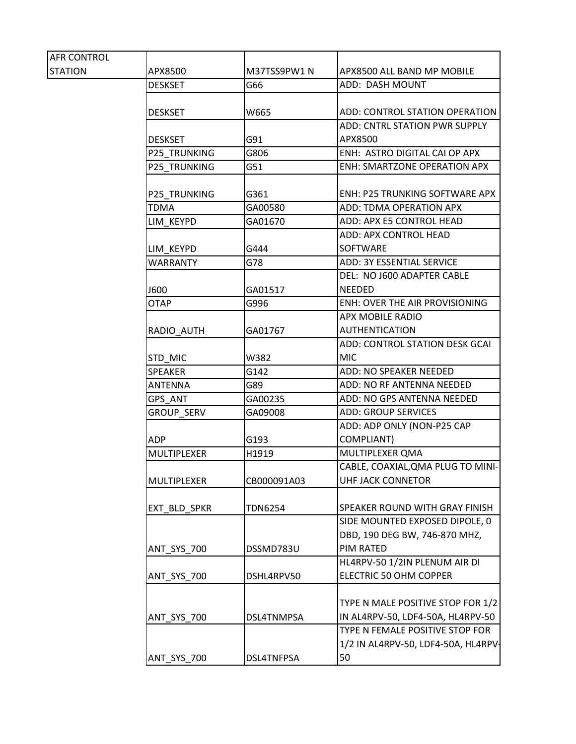| <b>AFR CONTROL</b> |                     |                |                                     |
|--------------------|---------------------|----------------|-------------------------------------|
| <b>STATION</b>     | APX8500             | M37TSS9PW1 N   | APX8500 ALL BAND MP MOBILE          |
|                    | <b>DESKSET</b>      | G66            | ADD: DASH MOUNT                     |
|                    |                     |                |                                     |
|                    | <b>DESKSET</b>      | W665           | ADD: CONTROL STATION OPERATION      |
|                    |                     |                | ADD: CNTRL STATION PWR SUPPLY       |
|                    | <b>DESKSET</b>      | G91            | APX8500                             |
|                    | <b>P25 TRUNKING</b> | G806           | ENH: ASTRO DIGITAL CAI OP APX       |
|                    | <b>P25 TRUNKING</b> | G51            | <b>ENH: SMARTZONE OPERATION APX</b> |
|                    |                     |                |                                     |
|                    | <b>P25 TRUNKING</b> | G361           | ENH: P25 TRUNKING SOFTWARE APX      |
|                    | <b>TDMA</b>         | GA00580        | ADD: TDMA OPERATION APX             |
|                    | LIM_KEYPD           | GA01670        | ADD: APX E5 CONTROL HEAD            |
|                    |                     |                | ADD: APX CONTROL HEAD               |
|                    | LIM_KEYPD           | G444           | <b>SOFTWARE</b>                     |
|                    | <b>WARRANTY</b>     | G78            | <b>ADD: 3Y ESSENTIAL SERVICE</b>    |
|                    |                     |                | DEL: NO J600 ADAPTER CABLE          |
|                    | J600                | GA01517        | <b>NEEDED</b>                       |
|                    | <b>OTAP</b>         | G996           | ENH: OVER THE AIR PROVISIONING      |
|                    |                     |                | APX MOBILE RADIO                    |
|                    | RADIO AUTH          | GA01767        | <b>AUTHENTICATION</b>               |
|                    |                     |                | ADD: CONTROL STATION DESK GCAI      |
|                    | STD MIC             | W382           | <b>MIC</b>                          |
|                    | <b>SPEAKER</b>      | G142           | ADD: NO SPEAKER NEEDED              |
|                    | ANTENNA             | G89            | ADD: NO RF ANTENNA NEEDED           |
|                    | GPS ANT             | GA00235        | ADD: NO GPS ANTENNA NEEDED          |
|                    | <b>GROUP SERV</b>   | GA09008        | <b>ADD: GROUP SERVICES</b>          |
|                    |                     |                | ADD: ADP ONLY (NON-P25 CAP          |
|                    | ADP                 | G193           | COMPLIANT)                          |
|                    | MULTIPLEXER         | H1919          | MULTIPLEXER QMA                     |
|                    |                     |                | CABLE, COAXIAL, QMA PLUG TO MINI-   |
|                    | MULTIPLEXER         | CB000091A03    | UHF JACK CONNETOR                   |
|                    |                     |                |                                     |
|                    | EXT BLD SPKR        | <b>TDN6254</b> | SPEAKER ROUND WITH GRAY FINISH      |
|                    |                     |                | SIDE MOUNTED EXPOSED DIPOLE, 0      |
|                    |                     |                | DBD, 190 DEG BW, 746-870 MHZ,       |
|                    | ANT_SYS_700         | DSSMD783U      | PIM RATED                           |
|                    |                     |                | HL4RPV-50 1/2IN PLENUM AIR DI       |
|                    | ANT SYS 700         | DSHL4RPV50     | ELECTRIC 50 OHM COPPER              |
|                    |                     |                |                                     |
|                    |                     |                | TYPE N MALE POSITIVE STOP FOR 1/2   |
|                    | ANT SYS 700         | DSL4TNMPSA     | IN AL4RPV-50, LDF4-50A, HL4RPV-50   |
|                    |                     |                | TYPE N FEMALE POSITIVE STOP FOR     |
|                    |                     |                | 1/2 IN AL4RPV-50, LDF4-50A, HL4RPV- |
|                    | ANT_SYS_700         | DSL4TNFPSA     | 50                                  |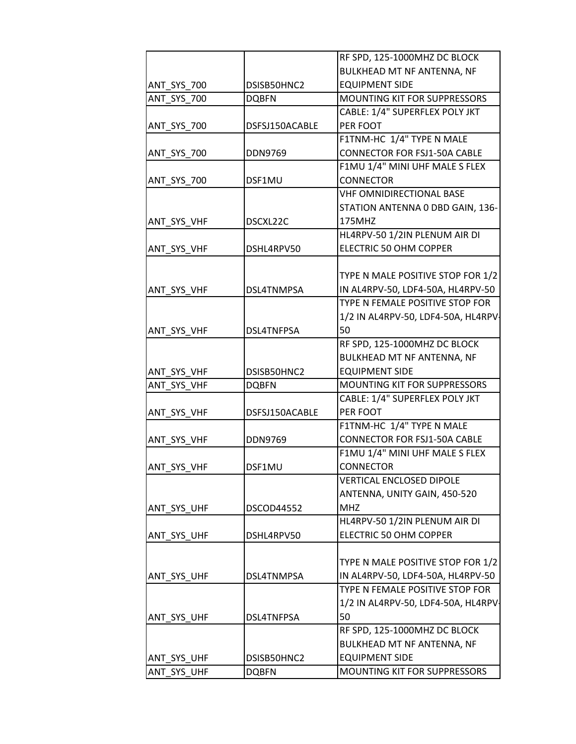|                    |                   | RF SPD, 125-1000MHZ DC BLOCK        |
|--------------------|-------------------|-------------------------------------|
|                    |                   | BULKHEAD MT NF ANTENNA, NF          |
| ANT SYS 700        | DSISB50HNC2       | <b>EQUIPMENT SIDE</b>               |
| <b>ANT_SYS_700</b> | <b>DQBFN</b>      | MOUNTING KIT FOR SUPPRESSORS        |
|                    |                   | CABLE: 1/4" SUPERFLEX POLY JKT      |
| ANT_SYS_700        | DSFSJ150ACABLE    | PER FOOT                            |
|                    |                   | F1TNM-HC 1/4" TYPE N MALE           |
| ANT SYS 700        | <b>DDN9769</b>    | <b>CONNECTOR FOR FSJ1-50A CABLE</b> |
|                    |                   | F1MU 1/4" MINI UHF MALE S FLEX      |
| <b>ANT_SYS_700</b> | DSF1MU            | <b>CONNECTOR</b>                    |
|                    |                   | <b>VHF OMNIDIRECTIONAL BASE</b>     |
|                    |                   | STATION ANTENNA 0 DBD GAIN, 136-    |
| ANT_SYS_VHF        | DSCXL22C          | 175MHZ                              |
|                    |                   | HL4RPV-50 1/2IN PLENUM AIR DI       |
| ANT SYS VHF        | DSHL4RPV50        | ELECTRIC 50 OHM COPPER              |
|                    |                   |                                     |
|                    |                   | TYPE N MALE POSITIVE STOP FOR 1/2   |
| ANT_SYS_VHF        | DSL4TNMPSA        | IN AL4RPV-50, LDF4-50A, HL4RPV-50   |
|                    |                   | TYPE N FEMALE POSITIVE STOP FOR     |
|                    |                   | 1/2 IN AL4RPV-50, LDF4-50A, HL4RPV- |
| ANT_SYS_VHF        | DSL4TNFPSA        | 50                                  |
|                    |                   | RF SPD, 125-1000MHZ DC BLOCK        |
|                    |                   | BULKHEAD MT NF ANTENNA, NF          |
| ANT_SYS_VHF        | DSISB50HNC2       | <b>EQUIPMENT SIDE</b>               |
| ANT_SYS_VHF        | <b>DQBFN</b>      | <b>MOUNTING KIT FOR SUPPRESSORS</b> |
|                    |                   | CABLE: 1/4" SUPERFLEX POLY JKT      |
| ANT SYS VHF        | DSFSJ150ACABLE    | PER FOOT                            |
|                    |                   | F1TNM-HC 1/4" TYPE N MALE           |
| ANT_SYS_VHF        | <b>DDN9769</b>    | <b>CONNECTOR FOR FSJ1-50A CABLE</b> |
|                    |                   | F1MU 1/4" MINI UHF MALE S FLEX      |
| ANT SYS VHF        | DSF1MU            | <b>CONNECTOR</b>                    |
|                    |                   | <b>VERTICAL ENCLOSED DIPOLE</b>     |
|                    |                   | ANTENNA, UNITY GAIN, 450-520        |
| ANT SYS UHF        | <b>DSCOD44552</b> | <b>MHZ</b>                          |
|                    |                   | HL4RPV-50 1/2IN PLENUM AIR DI       |
| ANT_SYS_UHF        | DSHL4RPV50        | ELECTRIC 50 OHM COPPER              |
|                    |                   |                                     |
|                    |                   | TYPE N MALE POSITIVE STOP FOR 1/2   |
| ANT SYS UHF        | DSL4TNMPSA        | IN AL4RPV-50, LDF4-50A, HL4RPV-50   |
|                    |                   | TYPE N FEMALE POSITIVE STOP FOR     |
|                    |                   | 1/2 IN AL4RPV-50, LDF4-50A, HL4RPV- |
| ANT SYS UHF        | DSL4TNFPSA        | 50                                  |
|                    |                   | RF SPD, 125-1000MHZ DC BLOCK        |
|                    |                   | BULKHEAD MT NF ANTENNA, NF          |
| ANT_SYS_UHF        | DSISB50HNC2       | <b>EQUIPMENT SIDE</b>               |
| ANT_SYS_UHF        | <b>DQBFN</b>      | <b>MOUNTING KIT FOR SUPPRESSORS</b> |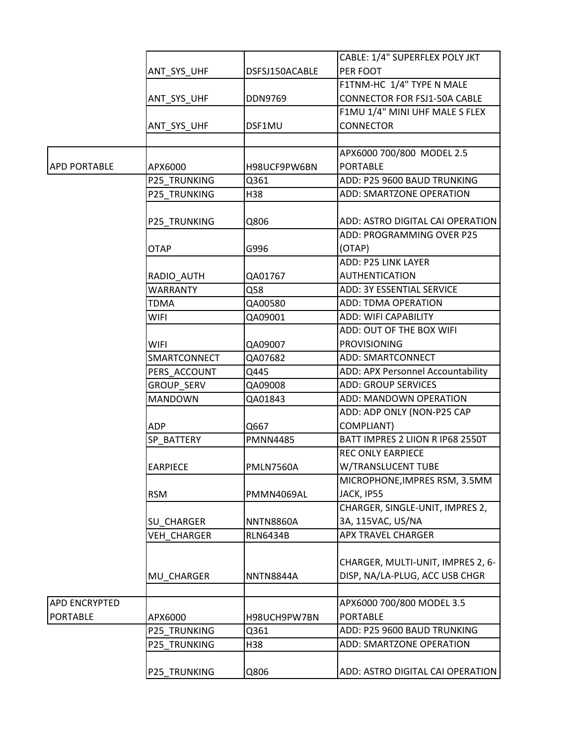|                      |                     |                  | CABLE: 1/4" SUPERFLEX POLY JKT                                  |
|----------------------|---------------------|------------------|-----------------------------------------------------------------|
|                      |                     |                  | PER FOOT                                                        |
|                      | ANT_SYS_UHF         | DSFSJ150ACABLE   |                                                                 |
|                      |                     |                  | F1TNM-HC 1/4" TYPE N MALE                                       |
|                      | ANT_SYS_UHF         | <b>DDN9769</b>   | CONNECTOR FOR FSJ1-50A CABLE                                    |
|                      |                     |                  | F1MU 1/4" MINI UHF MALE S FLEX                                  |
|                      | ANT_SYS_UHF         | DSF1MU           | <b>CONNECTOR</b>                                                |
|                      |                     |                  |                                                                 |
|                      |                     |                  | APX6000 700/800 MODEL 2.5                                       |
| <b>APD PORTABLE</b>  | APX6000             | H98UCF9PW6BN     | <b>PORTABLE</b>                                                 |
|                      | P25_TRUNKING        | Q361             | ADD: P25 9600 BAUD TRUNKING                                     |
|                      | P25_TRUNKING        | H38              | ADD: SMARTZONE OPERATION                                        |
|                      | P25_TRUNKING        | Q806             | ADD: ASTRO DIGITAL CAI OPERATION                                |
|                      |                     |                  | ADD: PROGRAMMING OVER P25                                       |
|                      | <b>OTAP</b>         | G996             | (OTAP)                                                          |
|                      |                     |                  | ADD: P25 LINK LAYER                                             |
|                      | RADIO AUTH          | QA01767          | <b>AUTHENTICATION</b>                                           |
|                      | WARRANTY            | Q58              | <b>ADD: 3Y ESSENTIAL SERVICE</b>                                |
|                      | <b>TDMA</b>         | QA00580          | <b>ADD: TDMA OPERATION</b>                                      |
|                      | WIFI                | QA09001          | ADD: WIFI CAPABILITY                                            |
|                      |                     |                  | ADD: OUT OF THE BOX WIFI                                        |
|                      | <b>WIFI</b>         | QA09007          | <b>PROVISIONING</b>                                             |
|                      |                     |                  | ADD: SMARTCONNECT                                               |
|                      | SMARTCONNECT        | QA07682          |                                                                 |
|                      | PERS_ACCOUNT        | Q445             | ADD: APX Personnel Accountability<br><b>ADD: GROUP SERVICES</b> |
|                      | GROUP_SERV          | QA09008          |                                                                 |
|                      | <b>MANDOWN</b>      | QA01843          | ADD: MANDOWN OPERATION                                          |
|                      |                     |                  | ADD: ADP ONLY (NON-P25 CAP                                      |
|                      | <b>ADP</b>          | Q667             | COMPLIANT)                                                      |
|                      | SP BATTERY          | <b>PMNN4485</b>  | BATT IMPRES 2 LIION R IP68 2550T                                |
|                      |                     |                  | <b>REC ONLY EARPIECE</b>                                        |
|                      | <b>EARPIECE</b>     | PMLN7560A        | W/TRANSLUCENT TUBE                                              |
|                      |                     |                  | MICROPHONE, IMPRES RSM, 3.5MM                                   |
|                      | <b>RSM</b>          | PMMN4069AL       | JACK, IP55                                                      |
|                      |                     |                  | CHARGER, SINGLE-UNIT, IMPRES 2,                                 |
|                      | <b>SU CHARGER</b>   | <b>NNTN8860A</b> | 3A, 115VAC, US/NA                                               |
|                      | VEH_CHARGER         | <b>RLN6434B</b>  | <b>APX TRAVEL CHARGER</b>                                       |
|                      |                     |                  |                                                                 |
|                      |                     |                  | CHARGER, MULTI-UNIT, IMPRES 2, 6-                               |
|                      | MU_CHARGER          | <b>NNTN8844A</b> | DISP, NA/LA-PLUG, ACC USB CHGR                                  |
|                      |                     |                  |                                                                 |
| <b>APD ENCRYPTED</b> |                     |                  | APX6000 700/800 MODEL 3.5                                       |
| <b>PORTABLE</b>      | APX6000             | H98UCH9PW7BN     | <b>PORTABLE</b>                                                 |
|                      | P25_TRUNKING        | Q361             | ADD: P25 9600 BAUD TRUNKING                                     |
|                      | <b>P25 TRUNKING</b> | H38              | ADD: SMARTZONE OPERATION                                        |
|                      |                     |                  |                                                                 |
|                      | P25_TRUNKING        | Q806             | ADD: ASTRO DIGITAL CAI OPERATION                                |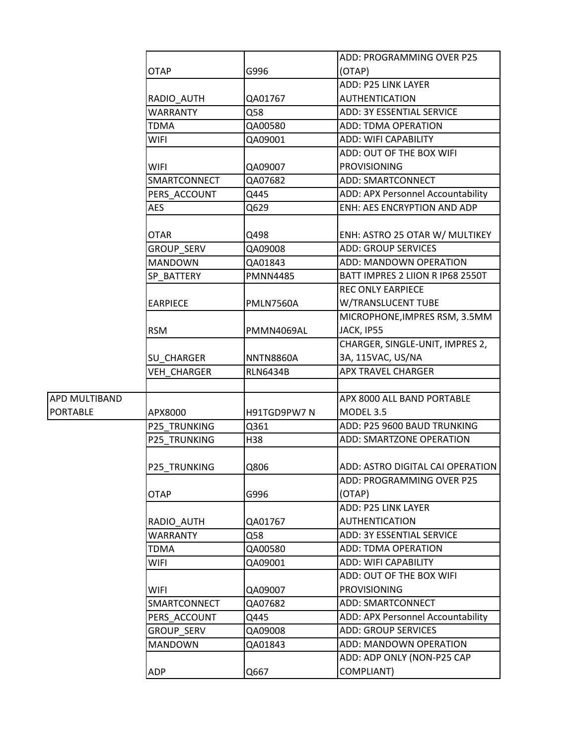|                 |                              |                      | ADD: PROGRAMMING OVER P25         |
|-----------------|------------------------------|----------------------|-----------------------------------|
|                 | <b>OTAP</b>                  | G996                 | (OTAP)                            |
|                 |                              |                      | ADD: P25 LINK LAYER               |
|                 | RADIO_AUTH                   | QA01767              | <b>AUTHENTICATION</b>             |
|                 | <b>WARRANTY</b>              | Q58                  | <b>ADD: 3Y ESSENTIAL SERVICE</b>  |
|                 | TDMA                         | QA00580              | <b>ADD: TDMA OPERATION</b>        |
|                 | WIFI                         | QA09001              | ADD: WIFI CAPABILITY              |
|                 |                              |                      | ADD: OUT OF THE BOX WIFI          |
|                 | <b>WIFI</b>                  | QA09007              | <b>PROVISIONING</b>               |
|                 | SMARTCONNECT                 | QA07682              | ADD: SMARTCONNECT                 |
|                 | PERS ACCOUNT                 | Q445                 | ADD: APX Personnel Accountability |
|                 | <b>AES</b>                   | Q629                 | ENH: AES ENCRYPTION AND ADP       |
|                 |                              |                      |                                   |
|                 | <b>OTAR</b>                  | Q498                 | ENH: ASTRO 25 OTAR W/ MULTIKEY    |
|                 | <b>GROUP SERV</b>            | QA09008              | <b>ADD: GROUP SERVICES</b>        |
|                 | <b>MANDOWN</b>               | QA01843              | ADD: MANDOWN OPERATION            |
|                 | SP_BATTERY                   | <b>PMNN4485</b>      | BATT IMPRES 2 LIION R IP68 2550T  |
|                 |                              |                      | <b>REC ONLY EARPIECE</b>          |
|                 | <b>EARPIECE</b>              | <b>PMLN7560A</b>     | W/TRANSLUCENT TUBE                |
|                 |                              |                      | MICROPHONE, IMPRES RSM, 3.5MM     |
|                 | <b>RSM</b>                   | PMMN4069AL           | JACK, IP55                        |
|                 |                              |                      | CHARGER, SINGLE-UNIT, IMPRES 2,   |
|                 | SU_CHARGER                   | <b>NNTN8860A</b>     | 3A, 115VAC, US/NA                 |
|                 | VEH CHARGER                  | <b>RLN6434B</b>      | <b>APX TRAVEL CHARGER</b>         |
| APD MULTIBAND   |                              |                      | APX 8000 ALL BAND PORTABLE        |
| <b>PORTABLE</b> |                              |                      | MODEL 3.5                         |
|                 | APX8000                      | H91TGD9PW7 N<br>Q361 | ADD: P25 9600 BAUD TRUNKING       |
|                 | P25_TRUNKING<br>P25 TRUNKING | H38                  | ADD: SMARTZONE OPERATION          |
|                 |                              |                      |                                   |
|                 | <b>P25 TRUNKING</b>          | Q806                 | ADD: ASTRO DIGITAL CAI OPERATION  |
|                 |                              |                      | ADD: PROGRAMMING OVER P25         |
|                 | <b>OTAP</b>                  | G996                 | (OTAP)                            |
|                 |                              |                      | ADD: P25 LINK LAYER               |
|                 | RADIO AUTH                   | QA01767              | <b>AUTHENTICATION</b>             |
|                 | WARRANTY                     | Q58                  | ADD: 3Y ESSENTIAL SERVICE         |
|                 | <b>TDMA</b>                  | QA00580              | ADD: TDMA OPERATION               |
|                 | WIFI                         | QA09001              | ADD: WIFI CAPABILITY              |
|                 |                              |                      | ADD: OUT OF THE BOX WIFI          |
|                 | <b>WIFI</b>                  | QA09007              | <b>PROVISIONING</b>               |
|                 | SMARTCONNECT                 | QA07682              | ADD: SMARTCONNECT                 |
|                 | PERS ACCOUNT                 | Q445                 | ADD: APX Personnel Accountability |
|                 | <b>GROUP SERV</b>            | QA09008              | <b>ADD: GROUP SERVICES</b>        |
|                 | <b>MANDOWN</b>               | QA01843              | ADD: MANDOWN OPERATION            |
|                 |                              |                      | ADD: ADP ONLY (NON-P25 CAP        |
|                 | <b>ADP</b>                   | Q667                 | COMPLIANT)                        |
|                 |                              |                      |                                   |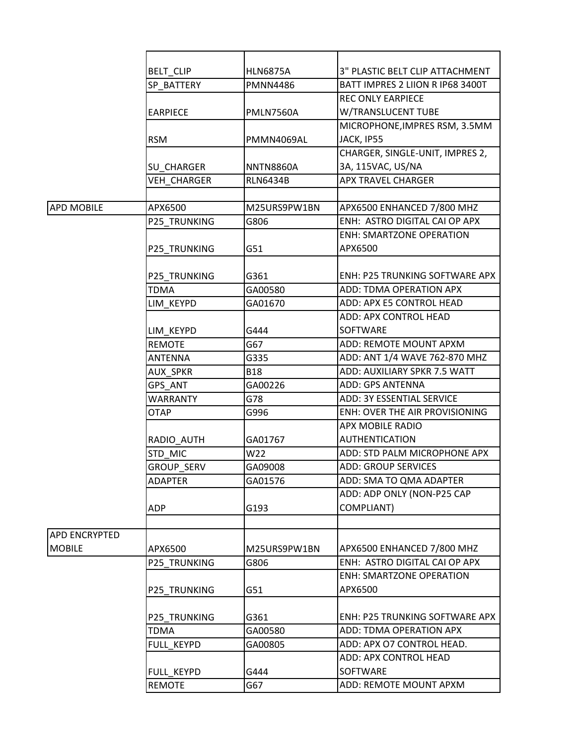|                   | BELT_CLIP           | <b>HLN6875A</b>  | 3" PLASTIC BELT CLIP ATTACHMENT  |
|-------------------|---------------------|------------------|----------------------------------|
|                   | SP BATTERY          | <b>PMNN4486</b>  | BATT IMPRES 2 LIION R IP68 3400T |
|                   |                     |                  | <b>REC ONLY EARPIECE</b>         |
|                   | <b>EARPIECE</b>     | PMLN7560A        | W/TRANSLUCENT TUBE               |
|                   |                     |                  | MICROPHONE, IMPRES RSM, 3.5MM    |
|                   | <b>RSM</b>          | PMMN4069AL       | JACK, IP55                       |
|                   |                     |                  | CHARGER, SINGLE-UNIT, IMPRES 2,  |
|                   | SU_CHARGER          | <b>NNTN8860A</b> | 3A, 115VAC, US/NA                |
|                   | VEH_CHARGER         | <b>RLN6434B</b>  | <b>APX TRAVEL CHARGER</b>        |
|                   |                     |                  |                                  |
| <b>APD MOBILE</b> | APX6500             | M25URS9PW1BN     | APX6500 ENHANCED 7/800 MHZ       |
|                   | P25_TRUNKING        | G806             | ENH: ASTRO DIGITAL CAI OP APX    |
|                   |                     |                  | <b>ENH: SMARTZONE OPERATION</b>  |
|                   | <b>P25 TRUNKING</b> | G51              | APX6500                          |
|                   |                     |                  |                                  |
|                   | <b>P25 TRUNKING</b> | G361             | ENH: P25 TRUNKING SOFTWARE APX   |
|                   | TDMA                | GA00580          | ADD: TDMA OPERATION APX          |
|                   | LIM_KEYPD           | GA01670          | ADD: APX E5 CONTROL HEAD         |
|                   |                     |                  | ADD: APX CONTROL HEAD            |
|                   | LIM_KEYPD           | G444             | <b>SOFTWARE</b>                  |
|                   | <b>REMOTE</b>       | G67              | ADD: REMOTE MOUNT APXM           |
|                   | <b>ANTENNA</b>      | G335             | ADD: ANT 1/4 WAVE 762-870 MHZ    |
|                   | AUX_SPKR            | <b>B18</b>       | ADD: AUXILIARY SPKR 7.5 WATT     |
|                   | GPS_ANT             | GA00226          | ADD: GPS ANTENNA                 |
|                   | <b>WARRANTY</b>     | G78              | ADD: 3Y ESSENTIAL SERVICE        |
|                   | <b>OTAP</b>         | G996             | ENH: OVER THE AIR PROVISIONING   |
|                   |                     |                  | <b>APX MOBILE RADIO</b>          |
|                   | RADIO AUTH          | GA01767          | <b>AUTHENTICATION</b>            |
|                   | STD_MIC             | W22              | ADD: STD PALM MICROPHONE APX     |
|                   | GROUP_SERV          | GA09008          | <b>ADD: GROUP SERVICES</b>       |
|                   | <b>ADAPTER</b>      | GA01576          | ADD: SMA TO QMA ADAPTER          |
|                   |                     |                  | ADD: ADP ONLY (NON-P25 CAP       |
|                   | <b>ADP</b>          | G193             | COMPLIANT)                       |
|                   |                     |                  |                                  |
| APD ENCRYPTED     |                     |                  |                                  |
| <b>MOBILE</b>     | APX6500             | M25URS9PW1BN     | APX6500 ENHANCED 7/800 MHZ       |
|                   | P25 TRUNKING        | G806             | ENH: ASTRO DIGITAL CAI OP APX    |
|                   |                     |                  | <b>ENH: SMARTZONE OPERATION</b>  |
|                   | <b>P25 TRUNKING</b> | G51              | APX6500                          |
|                   |                     |                  |                                  |
|                   | <b>P25 TRUNKING</b> | G361             | ENH: P25 TRUNKING SOFTWARE APX   |
|                   | <b>TDMA</b>         | GA00580          | ADD: TDMA OPERATION APX          |
|                   | FULL KEYPD          | GA00805          | ADD: APX O7 CONTROL HEAD.        |
|                   |                     |                  | ADD: APX CONTROL HEAD            |
|                   | FULL_KEYPD          | G444             | SOFTWARE                         |
|                   | <b>REMOTE</b>       | G67              | ADD: REMOTE MOUNT APXM           |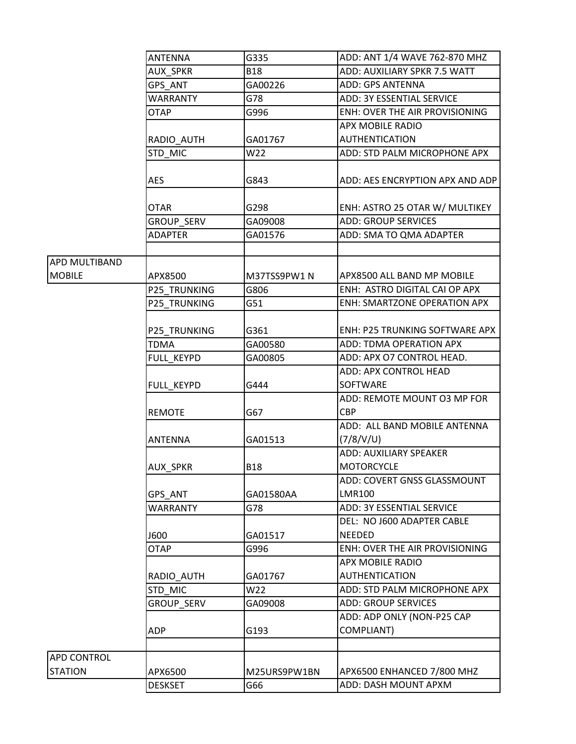|                                       | <b>ANTENNA</b>      | G335         | ADD: ANT 1/4 WAVE 762-870 MHZ             |
|---------------------------------------|---------------------|--------------|-------------------------------------------|
|                                       | AUX_SPKR            | <b>B18</b>   | ADD: AUXILIARY SPKR 7.5 WATT              |
|                                       | GPS_ANT             | GA00226      | ADD: GPS ANTENNA                          |
|                                       | <b>WARRANTY</b>     | G78          | <b>ADD: 3Y ESSENTIAL SERVICE</b>          |
|                                       | OTAP                | G996         | ENH: OVER THE AIR PROVISIONING            |
|                                       |                     |              | APX MOBILE RADIO                          |
|                                       | RADIO_AUTH          | GA01767      | <b>AUTHENTICATION</b>                     |
|                                       | STD MIC             | W22          | ADD: STD PALM MICROPHONE APX              |
|                                       | <b>AES</b>          | G843         | ADD: AES ENCRYPTION APX AND ADP           |
|                                       | OTAR                | G298         | ENH: ASTRO 25 OTAR W/ MULTIKEY            |
|                                       | GROUP_SERV          | GA09008      | <b>ADD: GROUP SERVICES</b>                |
|                                       | <b>ADAPTER</b>      | GA01576      | ADD: SMA TO QMA ADAPTER                   |
|                                       |                     |              |                                           |
| <b>APD MULTIBAND</b><br><b>MOBILE</b> | APX8500             | M37TSS9PW1 N | APX8500 ALL BAND MP MOBILE                |
|                                       | P25_TRUNKING        | G806         | ENH: ASTRO DIGITAL CAI OP APX             |
|                                       | <b>P25 TRUNKING</b> | G51          | ENH: SMARTZONE OPERATION APX              |
|                                       | P25_TRUNKING        | G361         | <b>ENH: P25 TRUNKING SOFTWARE APX</b>     |
|                                       | <b>TDMA</b>         | GA00580      | ADD: TDMA OPERATION APX                   |
|                                       | FULL_KEYPD          | GA00805      | ADD: APX O7 CONTROL HEAD.                 |
|                                       |                     |              | ADD: APX CONTROL HEAD                     |
|                                       | FULL KEYPD          | G444         | <b>SOFTWARE</b>                           |
|                                       | <b>REMOTE</b>       | G67          | ADD: REMOTE MOUNT O3 MP FOR<br><b>CBP</b> |
|                                       |                     |              | ADD: ALL BAND MOBILE ANTENNA              |
|                                       | <b>ANTENNA</b>      | GA01513      | (7/8/V/U)                                 |
|                                       |                     |              | <b>ADD: AUXILIARY SPEAKER</b>             |
|                                       | <b>AUX SPKR</b>     | <b>B18</b>   | <b>MOTORCYCLE</b>                         |
|                                       |                     |              | ADD: COVERT GNSS GLASSMOUNT               |
|                                       | GPS ANT             | GA01580AA    | <b>LMR100</b>                             |
|                                       | WARRANTY            | G78          | <b>ADD: 3Y ESSENTIAL SERVICE</b>          |
|                                       |                     |              | DEL: NO J600 ADAPTER CABLE                |
|                                       | J600                | GA01517      | <b>NEEDED</b>                             |
|                                       | <b>OTAP</b>         | G996         | <b>ENH: OVER THE AIR PROVISIONING</b>     |
|                                       |                     |              | APX MOBILE RADIO                          |
|                                       | RADIO AUTH          | GA01767      | <b>AUTHENTICATION</b>                     |
|                                       | STD_MIC             | W22          | ADD: STD PALM MICROPHONE APX              |
|                                       | GROUP_SERV          | GA09008      | <b>ADD: GROUP SERVICES</b>                |
|                                       |                     |              | ADD: ADP ONLY (NON-P25 CAP                |
|                                       | <b>ADP</b>          | G193         | COMPLIANT)                                |
|                                       |                     |              |                                           |
| APD CONTROL                           |                     |              |                                           |
| <b>STATION</b>                        | APX6500             | M25URS9PW1BN | APX6500 ENHANCED 7/800 MHZ                |
|                                       | <b>DESKSET</b>      | G66          | ADD: DASH MOUNT APXM                      |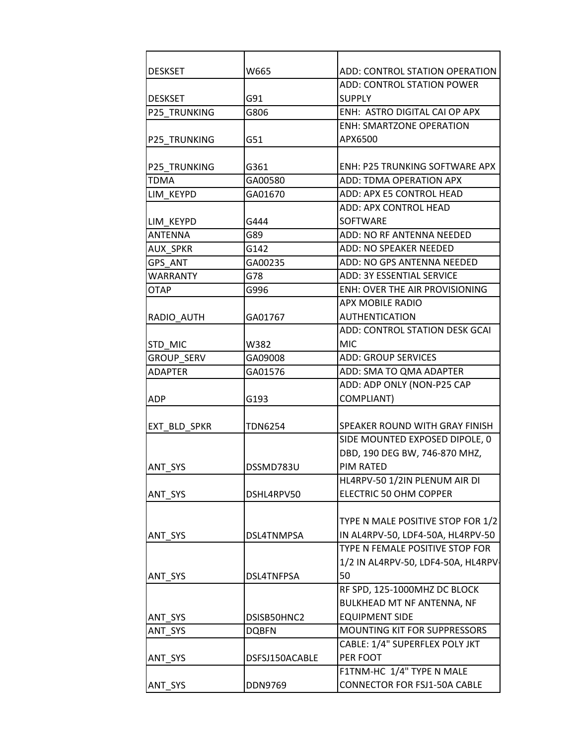| <b>DESKSET</b>      | W665           | ADD: CONTROL STATION OPERATION        |
|---------------------|----------------|---------------------------------------|
|                     |                | <b>ADD: CONTROL STATION POWER</b>     |
| <b>DESKSET</b>      | G91            | <b>SUPPLY</b>                         |
| <b>P25 TRUNKING</b> | G806           | ENH: ASTRO DIGITAL CAI OP APX         |
|                     |                | <b>ENH: SMARTZONE OPERATION</b>       |
| P25_TRUNKING        | G51            | APX6500                               |
| <b>P25 TRUNKING</b> | G361           | <b>ENH: P25 TRUNKING SOFTWARE APX</b> |
| <b>TDMA</b>         | GA00580        | ADD: TDMA OPERATION APX               |
| LIM KEYPD           | GA01670        | ADD: APX E5 CONTROL HEAD              |
|                     |                | ADD: APX CONTROL HEAD                 |
| LIM KEYPD           | G444           | <b>SOFTWARE</b>                       |
| <b>ANTENNA</b>      | G89            | ADD: NO RF ANTENNA NEEDED             |
| <b>AUX SPKR</b>     | G142           | ADD: NO SPEAKER NEEDED                |
| GPS ANT             | GA00235        | ADD: NO GPS ANTENNA NEEDED            |
| <b>WARRANTY</b>     | G78            | <b>ADD: 3Y ESSENTIAL SERVICE</b>      |
| <b>OTAP</b>         | G996           | ENH: OVER THE AIR PROVISIONING        |
|                     |                | <b>APX MOBILE RADIO</b>               |
| RADIO AUTH          | GA01767        | AUTHENTICATION                        |
|                     |                | ADD: CONTROL STATION DESK GCAI        |
| STD MIC             | W382           | <b>MIC</b>                            |
| <b>GROUP SERV</b>   | GA09008        | <b>ADD: GROUP SERVICES</b>            |
| <b>ADAPTER</b>      | GA01576        | ADD: SMA TO QMA ADAPTER               |
|                     |                | ADD: ADP ONLY (NON-P25 CAP            |
| <b>ADP</b>          | G193           | COMPLIANT)                            |
|                     |                |                                       |
| EXT BLD SPKR        | <b>TDN6254</b> | SPEAKER ROUND WITH GRAY FINISH        |
|                     |                | SIDE MOUNTED EXPOSED DIPOLE, 0        |
|                     |                | DBD, 190 DEG BW, 746-870 MHZ,         |
| ANT SYS             | DSSMD783U      | <b>PIM RATED</b>                      |
|                     |                | HL4RPV-50 1/2IN PLENUM AIR DI         |
| ANT_SYS             | DSHL4RPV50     | ELECTRIC 50 OHM COPPER                |
|                     |                |                                       |
|                     |                | TYPE N MALE POSITIVE STOP FOR 1/2     |
| ANT SYS             | DSL4TNMPSA     | IN AL4RPV-50, LDF4-50A, HL4RPV-50     |
|                     |                | TYPE N FEMALE POSITIVE STOP FOR       |
|                     |                | 1/2 IN AL4RPV-50, LDF4-50A, HL4RPV    |
| ANT SYS             | DSL4TNFPSA     | 50                                    |
|                     |                | RF SPD, 125-1000MHZ DC BLOCK          |
|                     |                | BULKHEAD MT NF ANTENNA, NF            |
| ANT_SYS             | DSISB50HNC2    | <b>EQUIPMENT SIDE</b>                 |
| ANT_SYS             | <b>DQBFN</b>   | MOUNTING KIT FOR SUPPRESSORS          |
|                     |                | CABLE: 1/4" SUPERFLEX POLY JKT        |
| ANT_SYS             | DSFSJ150ACABLE | PER FOOT                              |
|                     |                | F1TNM-HC 1/4" TYPE N MALE             |
| ANT_SYS             | DDN9769        | CONNECTOR FOR FSJ1-50A CABLE          |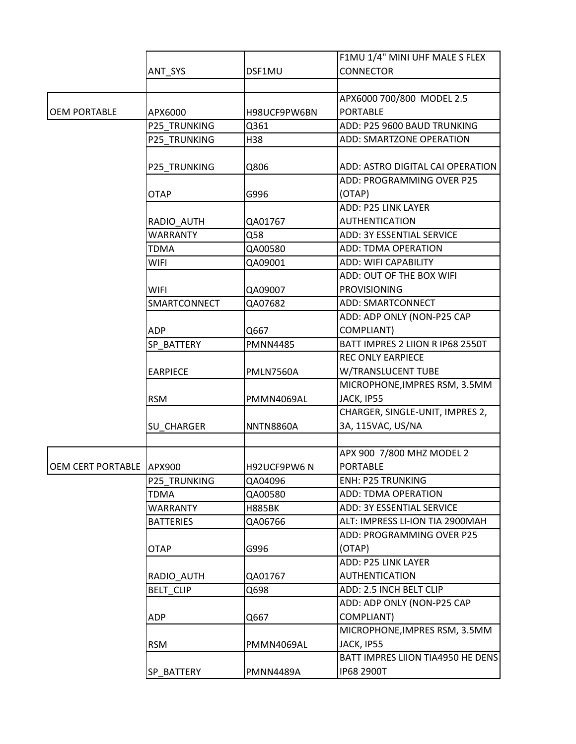|                          |                  |                  | F1MU 1/4" MINI UHF MALE S FLEX    |
|--------------------------|------------------|------------------|-----------------------------------|
|                          | ANT_SYS          | DSF1MU           | <b>CONNECTOR</b>                  |
|                          |                  |                  |                                   |
|                          |                  |                  | APX6000 700/800 MODEL 2.5         |
| <b>OEM PORTABLE</b>      | APX6000          | H98UCF9PW6BN     | <b>PORTABLE</b>                   |
|                          | P25_TRUNKING     | Q361             | ADD: P25 9600 BAUD TRUNKING       |
|                          | P25 TRUNKING     | H38              | ADD: SMARTZONE OPERATION          |
|                          |                  |                  |                                   |
|                          | P25_TRUNKING     | Q806             | ADD: ASTRO DIGITAL CAI OPERATION  |
|                          |                  |                  | ADD: PROGRAMMING OVER P25         |
|                          | <b>OTAP</b>      | G996             | (OTAP)                            |
|                          |                  |                  | ADD: P25 LINK LAYER               |
|                          | RADIO_AUTH       | QA01767          | <b>AUTHENTICATION</b>             |
|                          | <b>WARRANTY</b>  | Q58              | ADD: 3Y ESSENTIAL SERVICE         |
|                          | TDMA             | QA00580          | <b>ADD: TDMA OPERATION</b>        |
|                          | WIFI             | QA09001          | ADD: WIFI CAPABILITY              |
|                          |                  |                  | ADD: OUT OF THE BOX WIFI          |
|                          | <b>WIFI</b>      | QA09007          | <b>PROVISIONING</b>               |
|                          | SMARTCONNECT     | QA07682          | ADD: SMARTCONNECT                 |
|                          |                  |                  | ADD: ADP ONLY (NON-P25 CAP        |
|                          | <b>ADP</b>       | Q667             | COMPLIANT)                        |
|                          | SP BATTERY       | <b>PMNN4485</b>  | BATT IMPRES 2 LIION R IP68 2550T  |
|                          |                  |                  | <b>REC ONLY EARPIECE</b>          |
|                          | <b>EARPIECE</b>  | PMLN7560A        | W/TRANSLUCENT TUBE                |
|                          |                  |                  | MICROPHONE, IMPRES RSM, 3.5MM     |
|                          | <b>RSM</b>       | PMMN4069AL       | JACK, IP55                        |
|                          |                  |                  | CHARGER, SINGLE-UNIT, IMPRES 2,   |
|                          | SU_CHARGER       | <b>NNTN8860A</b> | 3A, 115VAC, US/NA                 |
|                          |                  |                  |                                   |
|                          |                  |                  | APX 900 7/800 MHZ MODEL 2         |
|                          |                  |                  |                                   |
| OEM CERT PORTABLE APX900 |                  | H92UCF9PW6 N     | <b>PORTABLE</b>                   |
|                          | P25 TRUNKING     | QA04096          | <b>ENH: P25 TRUNKING</b>          |
|                          | TDMA             | QA00580          | <b>ADD: TDMA OPERATION</b>        |
|                          | WARRANTY         | <b>H885BK</b>    | ADD: 3Y ESSENTIAL SERVICE         |
|                          | <b>BATTERIES</b> | QA06766          | ALT: IMPRESS LI-ION TIA 2900MAH   |
|                          |                  |                  | ADD: PROGRAMMING OVER P25         |
|                          | <b>OTAP</b>      | G996             | (OTAP)                            |
|                          |                  |                  | ADD: P25 LINK LAYER               |
|                          | RADIO AUTH       | QA01767          | <b>AUTHENTICATION</b>             |
|                          | <b>BELT CLIP</b> | Q698             | ADD: 2.5 INCH BELT CLIP           |
|                          |                  |                  | ADD: ADP ONLY (NON-P25 CAP        |
|                          | <b>ADP</b>       | Q667             | COMPLIANT)                        |
|                          |                  |                  | MICROPHONE, IMPRES RSM, 3.5MM     |
|                          | <b>RSM</b>       | PMMN4069AL       | JACK, IP55                        |
|                          |                  |                  | BATT IMPRES LIION TIA4950 HE DENS |
|                          | SP_BATTERY       | PMNN4489A        | IP68 2900T                        |
|                          |                  |                  |                                   |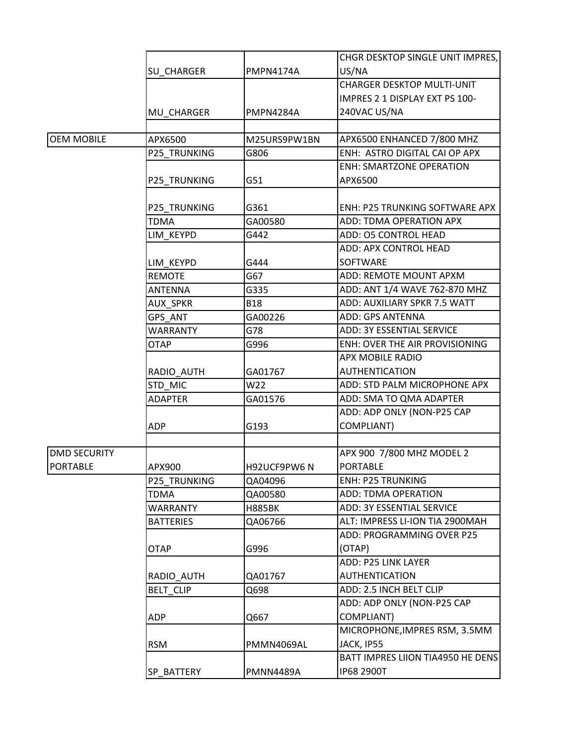|                     |                     |                  | CHGR DESKTOP SINGLE UNIT IMPRES,  |
|---------------------|---------------------|------------------|-----------------------------------|
|                     | SU_CHARGER          | PMPN4174A        | US/NA                             |
|                     |                     |                  | <b>CHARGER DESKTOP MULTI-UNIT</b> |
|                     |                     |                  | IMPRES 2 1 DISPLAY EXT PS 100-    |
|                     | MU CHARGER          | PMPN4284A        | 240VAC US/NA                      |
|                     |                     |                  |                                   |
| <b>OEM MOBILE</b>   | APX6500             | M25URS9PW1BN     | APX6500 ENHANCED 7/800 MHZ        |
|                     | <b>P25 TRUNKING</b> | G806             | ENH: ASTRO DIGITAL CAI OP APX     |
|                     |                     |                  | <b>ENH: SMARTZONE OPERATION</b>   |
|                     | P25_TRUNKING        | G51              | APX6500                           |
|                     |                     |                  |                                   |
|                     | <b>P25 TRUNKING</b> | G361             | ENH: P25 TRUNKING SOFTWARE APX    |
|                     | <b>TDMA</b>         | GA00580          | ADD: TDMA OPERATION APX           |
|                     | LIM KEYPD           | G442             | ADD: 05 CONTROL HEAD              |
|                     |                     |                  | ADD: APX CONTROL HEAD             |
|                     | LIM KEYPD           | G444             | SOFTWARE                          |
|                     | <b>REMOTE</b>       | G67              | ADD: REMOTE MOUNT APXM            |
|                     | <b>ANTENNA</b>      | G335             | ADD: ANT 1/4 WAVE 762-870 MHZ     |
|                     | AUX_SPKR            | <b>B18</b>       | ADD: AUXILIARY SPKR 7.5 WATT      |
|                     | GPS ANT             | GA00226          | ADD: GPS ANTENNA                  |
|                     | WARRANTY            | G78              | ADD: 3Y ESSENTIAL SERVICE         |
|                     | <b>OTAP</b>         | G996             | ENH: OVER THE AIR PROVISIONING    |
|                     |                     |                  | APX MOBILE RADIO                  |
|                     | RADIO_AUTH          | GA01767          | <b>AUTHENTICATION</b>             |
|                     | STD_MIC             | W22              | ADD: STD PALM MICROPHONE APX      |
|                     | <b>ADAPTER</b>      | GA01576          | ADD: SMA TO QMA ADAPTER           |
|                     |                     |                  | ADD: ADP ONLY (NON-P25 CAP        |
|                     | <b>ADP</b>          | G193             | COMPLIANT)                        |
|                     |                     |                  |                                   |
| <b>DMD SECURITY</b> |                     |                  | APX 900 7/800 MHZ MODEL 2         |
| <b>PORTABLE</b>     | APX900              | H92UCF9PW6 N     | PORTABLE                          |
|                     | P25 TRUNKING        | QA04096          | <b>ENH: P25 TRUNKING</b>          |
|                     | <b>TDMA</b>         | QA00580          | <b>ADD: TDMA OPERATION</b>        |
|                     | <b>WARRANTY</b>     | <b>H885BK</b>    | <b>ADD: 3Y ESSENTIAL SERVICE</b>  |
|                     |                     |                  | ALT: IMPRESS LI-ION TIA 2900MAH   |
|                     | <b>BATTERIES</b>    | QA06766          |                                   |
|                     |                     |                  | ADD: PROGRAMMING OVER P25         |
|                     | <b>OTAP</b>         | G996             | (OTAP)                            |
|                     |                     |                  | ADD: P25 LINK LAYER               |
|                     | RADIO AUTH          | QA01767          | <b>AUTHENTICATION</b>             |
|                     | <b>BELT_CLIP</b>    | Q698             | ADD: 2.5 INCH BELT CLIP           |
|                     |                     |                  | ADD: ADP ONLY (NON-P25 CAP        |
|                     | <b>ADP</b>          | Q667             | COMPLIANT)                        |
|                     |                     |                  | MICROPHONE, IMPRES RSM, 3.5MM     |
|                     | <b>RSM</b>          | PMMN4069AL       | JACK, IP55                        |
|                     |                     |                  | BATT IMPRES LIION TIA4950 HE DENS |
|                     | SP_BATTERY          | <b>PMNN4489A</b> | IP68 2900T                        |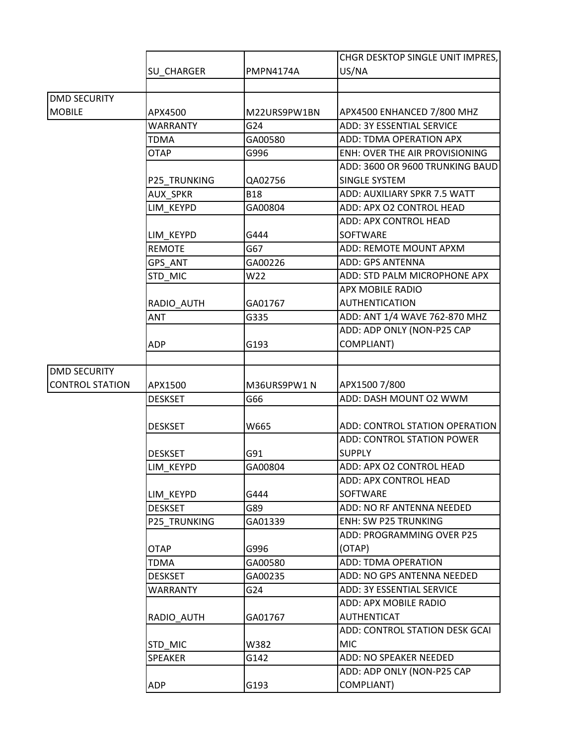|                        |                     |                  | CHGR DESKTOP SINGLE UNIT IMPRES, |
|------------------------|---------------------|------------------|----------------------------------|
|                        | SU_CHARGER          | <b>PMPN4174A</b> | US/NA                            |
|                        |                     |                  |                                  |
| <b>DMD SECURITY</b>    |                     |                  |                                  |
| <b>MOBILE</b>          | APX4500             | M22URS9PW1BN     | APX4500 ENHANCED 7/800 MHZ       |
|                        | WARRANTY            | G24              | <b>ADD: 3Y ESSENTIAL SERVICE</b> |
|                        | TDMA                | GA00580          | ADD: TDMA OPERATION APX          |
|                        | <b>OTAP</b>         | G996             | ENH: OVER THE AIR PROVISIONING   |
|                        |                     |                  | ADD: 3600 OR 9600 TRUNKING BAUD  |
|                        | P25_TRUNKING        | QA02756          | SINGLE SYSTEM                    |
|                        | <b>AUX SPKR</b>     | <b>B18</b>       | ADD: AUXILIARY SPKR 7.5 WATT     |
|                        | LIM KEYPD           | GA00804          | ADD: APX O2 CONTROL HEAD         |
|                        |                     |                  | ADD: APX CONTROL HEAD            |
|                        | LIM_KEYPD           | G444             | SOFTWARE                         |
|                        | <b>REMOTE</b>       | G67              | ADD: REMOTE MOUNT APXM           |
|                        | GPS ANT             | GA00226          | <b>ADD: GPS ANTENNA</b>          |
|                        | STD MIC             | W22              | ADD: STD PALM MICROPHONE APX     |
|                        |                     |                  | APX MOBILE RADIO                 |
|                        | RADIO_AUTH          | GA01767          | <b>AUTHENTICATION</b>            |
|                        | ANT                 | G335             | ADD: ANT 1/4 WAVE 762-870 MHZ    |
|                        |                     |                  | ADD: ADP ONLY (NON-P25 CAP       |
|                        | <b>ADP</b>          | G193             | COMPLIANT)                       |
|                        |                     |                  |                                  |
| <b>DMD SECURITY</b>    |                     |                  |                                  |
| <b>CONTROL STATION</b> | APX1500             | M36URS9PW1 N     | APX1500 7/800                    |
|                        | <b>DESKSET</b>      | G66              | ADD: DASH MOUNT O2 WWM           |
|                        |                     |                  |                                  |
|                        | <b>DESKSET</b>      | W665             | ADD: CONTROL STATION OPERATION   |
|                        |                     |                  | ADD: CONTROL STATION POWER       |
|                        | <b>DESKSET</b>      | G91              | <b>SUPPLY</b>                    |
|                        | LIM KEYPD           | GA00804          | ADD: APX O2 CONTROL HEAD         |
|                        |                     |                  | ADD: APX CONTROL HEAD            |
|                        | LIM KEYPD           | G444             | <b>SOFTWARE</b>                  |
|                        | <b>DESKSET</b>      | G89              | ADD: NO RF ANTENNA NEEDED        |
|                        | <b>P25 TRUNKING</b> | GA01339          | <b>ENH: SW P25 TRUNKING</b>      |
|                        |                     |                  | ADD: PROGRAMMING OVER P25        |
|                        | <b>OTAP</b>         | G996             | (OTAP)                           |
|                        | TDMA                | GA00580          | ADD: TDMA OPERATION              |
|                        | <b>DESKSET</b>      | GA00235          | ADD: NO GPS ANTENNA NEEDED       |
|                        | <b>WARRANTY</b>     | G24              | ADD: 3Y ESSENTIAL SERVICE        |
|                        |                     |                  | ADD: APX MOBILE RADIO            |
|                        | RADIO AUTH          | GA01767          | AUTHENTICAT                      |
|                        |                     |                  | ADD: CONTROL STATION DESK GCAI   |
|                        | STD MIC             | W382             | <b>MIC</b>                       |
|                        | <b>SPEAKER</b>      | G142             | ADD: NO SPEAKER NEEDED           |
|                        |                     |                  | ADD: ADP ONLY (NON-P25 CAP       |
|                        | <b>ADP</b>          | G193             | COMPLIANT)                       |